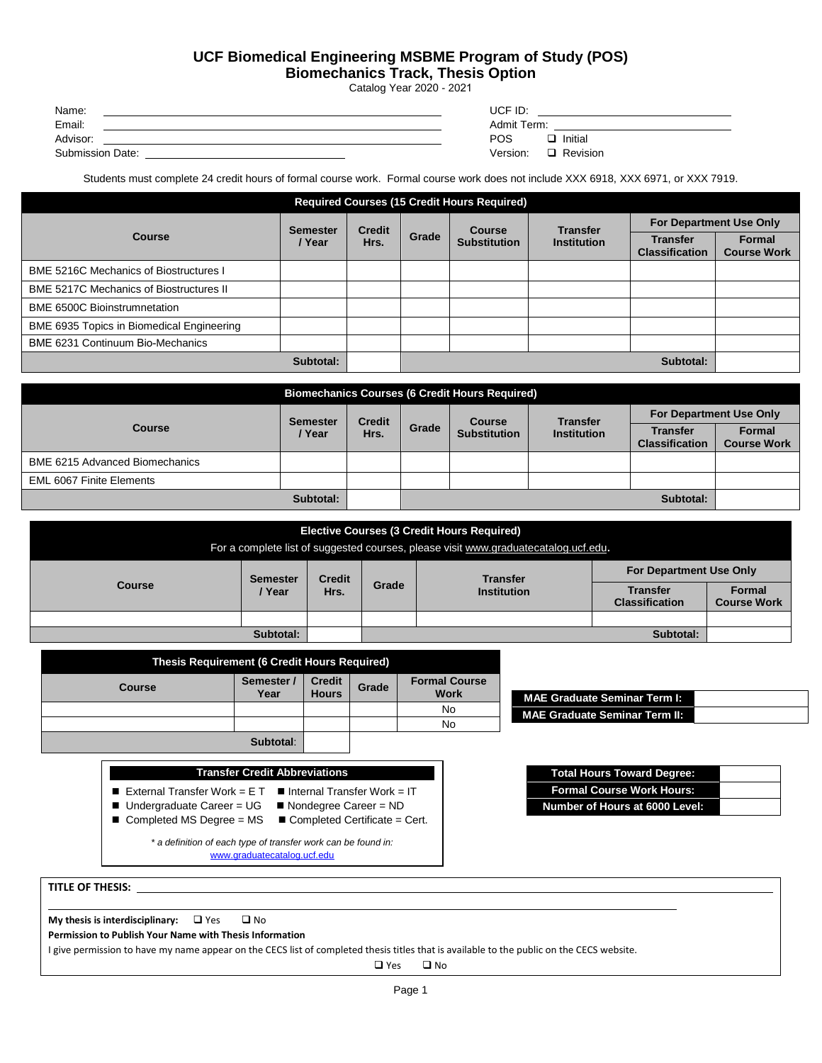## **UCF Biomedical Engineering MSBME Program of Study (POS)**

**Biomechanics Track, Thesis Option** 

Catalog Year 2020 - 2021

| Name:            | UCF ID:              |
|------------------|----------------------|
| Email:           | Admit Term:          |
| Advisor:         | POS<br>Initial       |
| Submission Date: | Version:<br>Revision |

Students must complete 24 credit hours of formal course work. Formal course work does not include XXX 6918, XXX 6971, or XXX 7919.

| <b>Required Courses (15 Credit Hours Required)</b> |                           |                       |       |                               |                                       |                                          |                              |
|----------------------------------------------------|---------------------------|-----------------------|-------|-------------------------------|---------------------------------------|------------------------------------------|------------------------------|
|                                                    | <b>Semester</b><br>/ Year | <b>Credit</b><br>Hrs. | Grade | Course<br><b>Substitution</b> | <b>Transfer</b><br><b>Institution</b> | <b>For Department Use Only</b>           |                              |
| <b>Course</b>                                      |                           |                       |       |                               |                                       | <b>Transfer</b><br><b>Classification</b> | Formal<br><b>Course Work</b> |
| <b>BME 5216C Mechanics of Biostructures I</b>      |                           |                       |       |                               |                                       |                                          |                              |
| <b>BME 5217C Mechanics of Biostructures II</b>     |                           |                       |       |                               |                                       |                                          |                              |
| <b>BME 6500C Bioinstrumnetation</b>                |                           |                       |       |                               |                                       |                                          |                              |
| BME 6935 Topics in Biomedical Engineering          |                           |                       |       |                               |                                       |                                          |                              |
| <b>BME 6231 Continuum Bio-Mechanics</b>            |                           |                       |       |                               |                                       |                                          |                              |
| Subtotal:<br>Subtotal:                             |                           |                       |       |                               |                                       |                                          |                              |

| <b>Biomechanics Courses (6 Credit Hours Required)</b> |                 |                       |       |                                      |                                       |                                          |                              |
|-------------------------------------------------------|-----------------|-----------------------|-------|--------------------------------------|---------------------------------------|------------------------------------------|------------------------------|
| <b>Course</b>                                         | <b>Semester</b> | <b>Credit</b><br>Hrs. | Grade | <b>Course</b><br><b>Substitution</b> | <b>Transfer</b><br><b>Institution</b> | <b>For Department Use Only</b>           |                              |
|                                                       | / Year          |                       |       |                                      |                                       | <b>Transfer</b><br><b>Classification</b> | Formal<br><b>Course Work</b> |
| <b>BME 6215 Advanced Biomechanics</b>                 |                 |                       |       |                                      |                                       |                                          |                              |
| <b>EML 6067 Finite Elements</b>                       |                 |                       |       |                                      |                                       |                                          |                              |
|                                                       | Subtotal:       |                       |       |                                      |                                       | Subtotal:                                |                              |

| <b>Elective Courses (3 Credit Hours Required)</b><br>For a complete list of suggested courses, please visit www.graduatecatalog.ucf.edu. |                           |                       |                                                                                                                                                                     |  |           |  |  |
|------------------------------------------------------------------------------------------------------------------------------------------|---------------------------|-----------------------|---------------------------------------------------------------------------------------------------------------------------------------------------------------------|--|-----------|--|--|
| <b>Course</b>                                                                                                                            | <b>Semester</b><br>/ Year | <b>Credit</b><br>Hrs. | <b>For Department Use Only</b><br><b>Transfer</b><br>Grade<br><b>Formal</b><br><b>Transfer</b><br><b>Institution</b><br><b>Course Work</b><br><b>Classification</b> |  |           |  |  |
|                                                                                                                                          | Subtotal:                 |                       |                                                                                                                                                                     |  | Subtotal: |  |  |

| <b>Thesis Requirement (6 Credit Hours Required)</b> |                    |                               |       |                                     |  |  |
|-----------------------------------------------------|--------------------|-------------------------------|-------|-------------------------------------|--|--|
| <b>Course</b>                                       | Semester /<br>Year | <b>Credit</b><br><b>Hours</b> | Grade | <b>Formal Course</b><br><b>Work</b> |  |  |
|                                                     |                    |                               |       | No                                  |  |  |
|                                                     |                    |                               |       | No                                  |  |  |
|                                                     | Subtotal:          |                               |       |                                     |  |  |

| Transfer Credit Abbreviations                                                                                         |                                                                                                                     |  |  |  |  |  |
|-----------------------------------------------------------------------------------------------------------------------|---------------------------------------------------------------------------------------------------------------------|--|--|--|--|--|
| External Transfer Work = $E T$<br>$\blacksquare$ Undergraduate Career = UG<br>$\blacksquare$ Completed MS Degree = MS | Internal Transfer Work = IT<br>$\blacksquare$ Nondegree Career = ND<br>$\blacksquare$ Completed Certificate = Cert. |  |  |  |  |  |
| * a definition of each type of transfer work can be found in:<br>www.graduatecatalog.ucf.edu                          |                                                                                                                     |  |  |  |  |  |

**MAE Graduate Seminar Term I: MAE Graduate Seminar Term II:**

| Total Hours Toward Degree:       |  |
|----------------------------------|--|
| <b>Formal Course Work Hours:</b> |  |
| Number of Hours at 6000 Level:   |  |

|                                                         | <b>My thesis is interdisciplinary:</b> $\Box$ Yes |  | $\square$ No |  |  |  |  |
|---------------------------------------------------------|---------------------------------------------------|--|--------------|--|--|--|--|
| Permission to Publish Your Name with Thesis Information |                                                   |  |              |  |  |  |  |

**TITLE OF THESIS:** 

I give permission to have my name appear on the CECS list of completed thesis titles that is available to the public on the CECS website.

□ Yes □ No